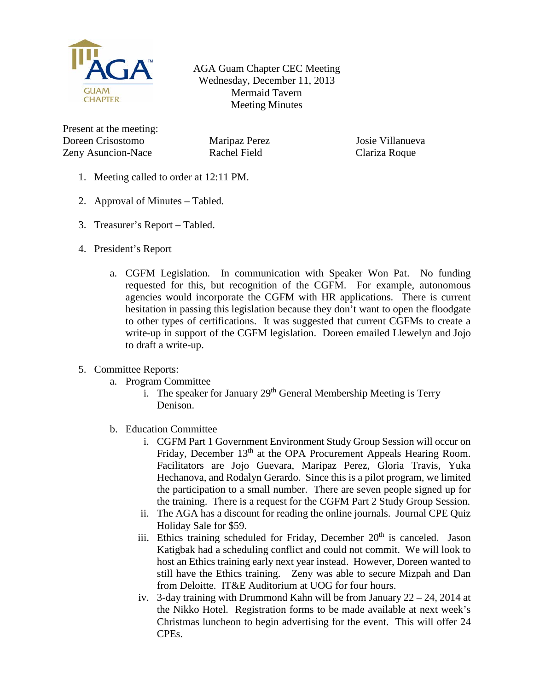

AGA Guam Chapter CEC Meeting Wednesday, December 11, 2013 Mermaid Tavern Meeting Minutes

Present at the meeting: Doreen Crisostomo Zeny Asuncion-Nace

Maripaz Perez Rachel Field

Josie Villanueva Clariza Roque

- 1. Meeting called to order at 12:11 PM.
- 2. Approval of Minutes Tabled.
- 3. Treasurer's Report Tabled.
- 4. President's Report
	- a. CGFM Legislation. In communication with Speaker Won Pat. No funding requested for this, but recognition of the CGFM. For example, autonomous agencies would incorporate the CGFM with HR applications. There is current hesitation in passing this legislation because they don't want to open the floodgate to other types of certifications. It was suggested that current CGFMs to create a write-up in support of the CGFM legislation. Doreen emailed Llewelyn and Jojo to draft a write-up.
- 5. Committee Reports:
	- a. Program Committee
		- i. The speaker for January  $29<sup>th</sup>$  General Membership Meeting is Terry Denison.
	- b. Education Committee
		- i. CGFM Part 1 Government Environment Study Group Session will occur on Friday, December 13<sup>th</sup> at the OPA Procurement Appeals Hearing Room. Facilitators are Jojo Guevara, Maripaz Perez, Gloria Travis, Yuka Hechanova, and Rodalyn Gerardo. Since this is a pilot program, we limited the participation to a small number. There are seven people signed up for the training. There is a request for the CGFM Part 2 Study Group Session.
		- ii. The AGA has a discount for reading the online journals. Journal CPE Quiz Holiday Sale for \$59.
		- iii. Ethics training scheduled for Friday, December  $20<sup>th</sup>$  is canceled. Jason Katigbak had a scheduling conflict and could not commit. We will look to host an Ethics training early next year instead. However, Doreen wanted to still have the Ethics training. Zeny was able to secure Mizpah and Dan from Deloitte. IT&E Auditorium at UOG for four hours.
		- iv. 3-day training with Drummond Kahn will be from January  $22 24$ , 2014 at the Nikko Hotel. Registration forms to be made available at next week's Christmas luncheon to begin advertising for the event. This will offer 24 CPEs.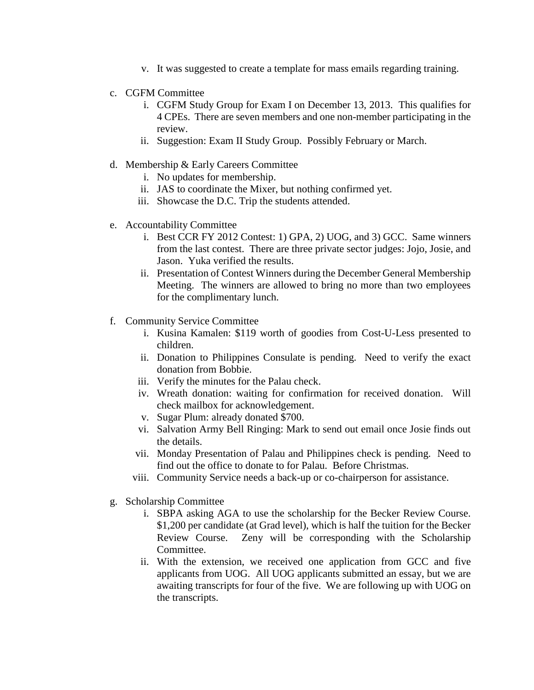- v. It was suggested to create a template for mass emails regarding training.
- c. CGFM Committee
	- i. CGFM Study Group for Exam I on December 13, 2013. This qualifies for 4 CPEs. There are seven members and one non-member participating in the review.
	- ii. Suggestion: Exam II Study Group. Possibly February or March.
- d. Membership & Early Careers Committee
	- i. No updates for membership.
	- ii. JAS to coordinate the Mixer, but nothing confirmed yet.
	- iii. Showcase the D.C. Trip the students attended.
- e. Accountability Committee
	- i. Best CCR FY 2012 Contest: 1) GPA, 2) UOG, and 3) GCC. Same winners from the last contest. There are three private sector judges: Jojo, Josie, and Jason. Yuka verified the results.
	- ii. Presentation of Contest Winners during the December General Membership Meeting. The winners are allowed to bring no more than two employees for the complimentary lunch.
- f. Community Service Committee
	- i. Kusina Kamalen: \$119 worth of goodies from Cost-U-Less presented to children.
	- ii. Donation to Philippines Consulate is pending. Need to verify the exact donation from Bobbie.
	- iii. Verify the minutes for the Palau check.
	- iv. Wreath donation: waiting for confirmation for received donation. Will check mailbox for acknowledgement.
	- v. Sugar Plum: already donated \$700.
	- vi. Salvation Army Bell Ringing: Mark to send out email once Josie finds out the details.
	- vii. Monday Presentation of Palau and Philippines check is pending. Need to find out the office to donate to for Palau. Before Christmas.
	- viii. Community Service needs a back-up or co-chairperson for assistance.
- g. Scholarship Committee
	- i. SBPA asking AGA to use the scholarship for the Becker Review Course. \$1,200 per candidate (at Grad level), which is half the tuition for the Becker Review Course. Zeny will be corresponding with the Scholarship Committee.
	- ii. With the extension, we received one application from GCC and five applicants from UOG. All UOG applicants submitted an essay, but we are awaiting transcripts for four of the five. We are following up with UOG on the transcripts.